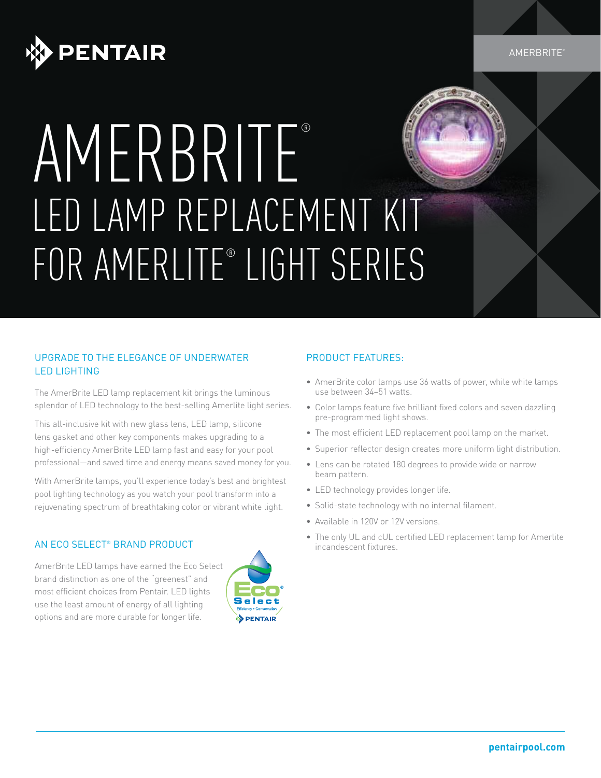

**AMERBRITE** 

# AMERBRITE® LED LAMP REPLACEMENT KIT FOR AMERLITE® LIGHT SERIES

### UPGRADE TO THE ELEGANCE OF UNDERWATER LED LIGHTING

The AmerBrite LED lamp replacement kit brings the luminous splendor of LED technology to the best-selling Amerlite light series.

This all-inclusive kit with new glass lens, LED lamp, silicone lens gasket and other key components makes upgrading to a high-efficiency AmerBrite LED lamp fast and easy for your pool professional—and saved time and energy means saved money for you.

With AmerBrite lamps, you'll experience today's best and brightest pool lighting technology as you watch your pool transform into a rejuvenating spectrum of breathtaking color or vibrant white light.

#### AN ECO SELECT® BRAND PRODUCT

AmerBrite LED lamps have earned the Eco Select brand distinction as one of the "greenest" and most efficient choices from Pentair. LED lights use the least amount of energy of all lighting options and are more durable for longer life.



### PRODUCT FEATURES:

- AmerBrite color lamps use 36 watts of power, while white lamps use between 34–51 watts.
- Color lamps feature five brilliant fixed colors and seven dazzling pre-programmed light shows.
- The most efficient LED replacement pool lamp on the market.
- Superior reflector design creates more uniform light distribution.
- Lens can be rotated 180 degrees to provide wide or narrow beam pattern.
- LED technology provides longer life.
- Solid-state technology with no internal filament.
- Available in 120V or 12V versions.
- The only UL and cUL certified LED replacement lamp for Amerlite incandescent fixtures.